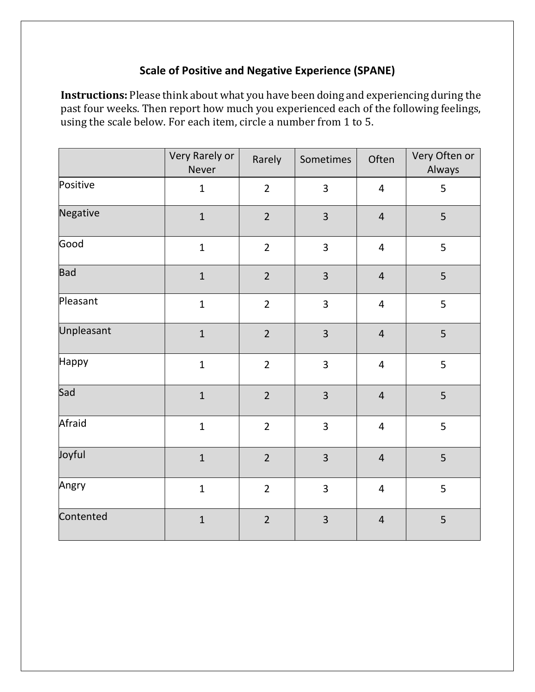## **Scale of Positive and Negative Experience (SPANE)**

**Instructions:** Please think about what you have been doing and experiencing during the past four weeks. Then report how much you experienced each of the following feelings, using the scale below. For each item, circle a number from 1 to 5.

|            | Very Rarely or<br><b>Never</b> | Rarely         | Sometimes               | Often                   | Very Often or<br>Always |
|------------|--------------------------------|----------------|-------------------------|-------------------------|-------------------------|
| Positive   | $\mathbf{1}$                   | $\overline{2}$ | 3                       | $\overline{4}$          | 5                       |
| Negative   | $\mathbf{1}$                   | $\overline{2}$ | 3                       | $\overline{4}$          | 5                       |
| Good       | $\mathbf{1}$                   | $\overline{2}$ | $\overline{3}$          | $\overline{4}$          | 5                       |
| <b>Bad</b> | $\mathbf{1}$                   | $\overline{2}$ | $\overline{\mathbf{3}}$ | $\overline{4}$          | 5                       |
| Pleasant   | $\mathbf{1}$                   | $\overline{2}$ | 3                       | $\overline{4}$          | 5                       |
| Unpleasant | $\mathbf{1}$                   | $\overline{2}$ | 3                       | $\overline{4}$          | 5                       |
| Happy      | $\mathbf{1}$                   | $\overline{2}$ | 3                       | $\overline{4}$          | 5                       |
| Sad        | $\mathbf 1$                    | $\overline{2}$ | 3                       | $\overline{4}$          | 5                       |
| Afraid     | $\mathbf 1$                    | $\overline{2}$ | 3                       | $\overline{\mathbf{r}}$ | 5                       |
| Joyful     | $\mathbf{1}$                   | $\overline{2}$ | 3                       | $\overline{4}$          | 5                       |
| Angry      | $\mathbf 1$                    | $\overline{2}$ | 3                       | $\overline{\mathbf{4}}$ | 5                       |
| Contented  | $\mathbf 1$                    | $\overline{2}$ | $\overline{3}$          | $\overline{4}$          | 5                       |